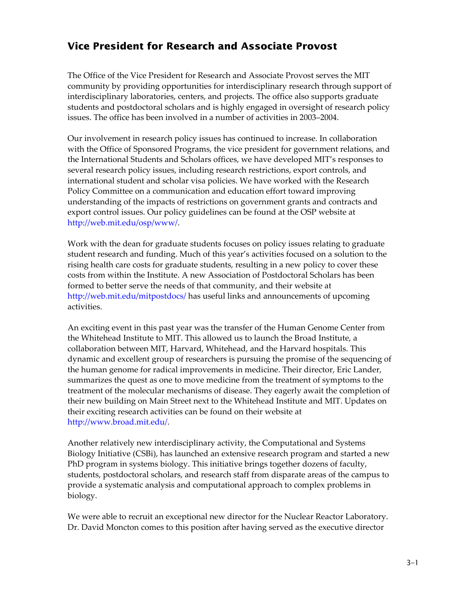## **Vice President for Research and Associate Provost**

The Office of the Vice President for Research and Associate Provost serves the MIT community by providing opportunities for interdisciplinary research through support of interdisciplinary laboratories, centers, and projects. The office also supports graduate students and postdoctoral scholars and is highly engaged in oversight of research policy issues. The office has been involved in a number of activities in 2003–2004.

Our involvement in research policy issues has continued to increase. In collaboration with the Office of Sponsored Programs, the vice president for government relations, and the International Students and Scholars offices, we have developed MIT's responses to several research policy issues, including research restrictions, export controls, and international student and scholar visa policies. We have worked with the Research Policy Committee on a communication and education effort toward improving understanding of the impacts of restrictions on government grants and contracts and export control issues. Our policy guidelines can be found at the OSP website at http://web.mit.edu/[osp/www/](http://web.mit.edu/osp/www/).

Work with the dean for graduate students focuses on policy issues relating to graduate student research and funding. Much of this year's activities focused on a solution to the rising health care costs for graduate students, resulting in a new policy to cover these costs from within the Institute. A new Association of Postdoctoral Scholars has been formed to better serve the needs of that community, and their website at http://web[.mit.edu/mitpostdocs/ h](http://web.mit.edu/mitpostdocs/)as useful links and announcements of upcoming activities.

An exciting event in this past year was the transfer of the Human Genome Center from the Whitehead Institute to MIT. This allowed us to launch the Broad Institute, a collaboration between MIT, Harvard, Whitehead, and the Harvard hospitals. This dynamic and excellent group of researchers is pursuing the promise of the sequencing of the human genome for radical improvements in medicine. Their director, Eric Lander, summarizes the quest as one to move medicine from the treatment of symptoms to the treatment of the molecular mechanisms of disease. They eagerly await the completion of their new building on Main Street next to the Whitehead Institute and MIT. Updates on their exciting research activities can be found on their website at <http://www.broad.mit.edu/>.

Another relatively new interdisciplinary activity, the Computational and Systems Biology Initiative (CSBi), has launched an extensive research program and started a new PhD program in systems biology. This initiative brings together dozens of faculty, students, postdoctoral scholars, and research staff from disparate areas of the campus to provide a systematic analysis and computational approach to complex problems in biology.

We were able to recruit an exceptional new director for the Nuclear Reactor Laboratory. Dr. David Moncton comes to this position after having served as the executive director